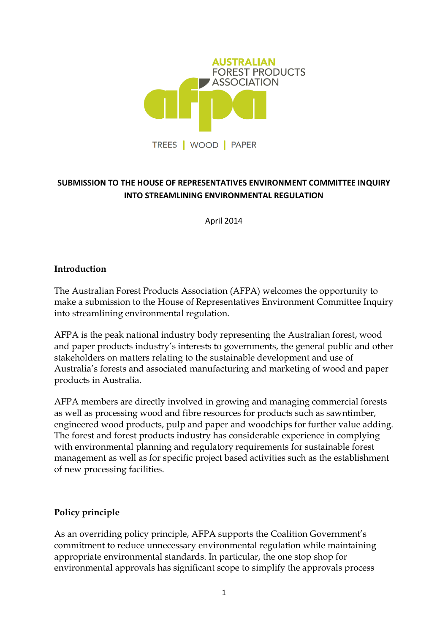

# **SUBMISSION TO THE HOUSE OF REPRESENTATIVES ENVIRONMENT COMMITTEE INQUIRY INTO STREAMLINING ENVIRONMENTAL REGULATION**

April 2014

## **Introduction**

The Australian Forest Products Association (AFPA) welcomes the opportunity to make a submission to the House of Representatives Environment Committee Inquiry into streamlining environmental regulation.

AFPA is the peak national industry body representing the Australian forest, wood and paper products industry's interests to governments, the general public and other stakeholders on matters relating to the sustainable development and use of Australia's forests and associated manufacturing and marketing of wood and paper products in Australia.

AFPA members are directly involved in growing and managing commercial forests as well as processing wood and fibre resources for products such as sawntimber, engineered wood products, pulp and paper and woodchips for further value adding. The forest and forest products industry has considerable experience in complying with environmental planning and regulatory requirements for sustainable forest management as well as for specific project based activities such as the establishment of new processing facilities.

# **Policy principle**

As an overriding policy principle, AFPA supports the Coalition Government's commitment to reduce unnecessary environmental regulation while maintaining appropriate environmental standards. In particular, the one stop shop for environmental approvals has significant scope to simplify the approvals process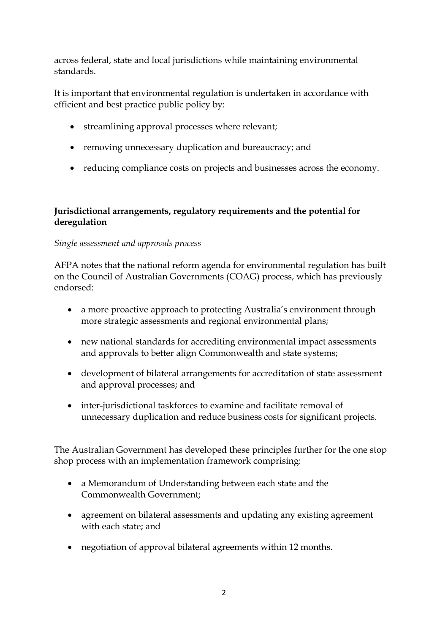across federal, state and local jurisdictions while maintaining environmental standards.

It is important that environmental regulation is undertaken in accordance with efficient and best practice public policy by:

- streamlining approval processes where relevant;
- removing unnecessary duplication and bureaucracy; and
- reducing compliance costs on projects and businesses across the economy.

### **Jurisdictional arrangements, regulatory requirements and the potential for deregulation**

#### *Single assessment and approvals process*

AFPA notes that the national reform agenda for environmental regulation has built on the Council of Australian Governments (COAG) process, which has previously endorsed:

- a more proactive approach to protecting Australia's environment through more strategic assessments and regional environmental plans;
- new national standards for accrediting environmental impact assessments and approvals to better align Commonwealth and state systems;
- development of bilateral arrangements for accreditation of state assessment and approval processes; and
- inter-jurisdictional taskforces to examine and facilitate removal of unnecessary duplication and reduce business costs for significant projects.

The Australian Government has developed these principles further for the one stop shop process with an implementation framework comprising:

- a Memorandum of Understanding between each state and the Commonwealth Government;
- agreement on bilateral assessments and updating any existing agreement with each state; and
- negotiation of approval bilateral agreements within 12 months.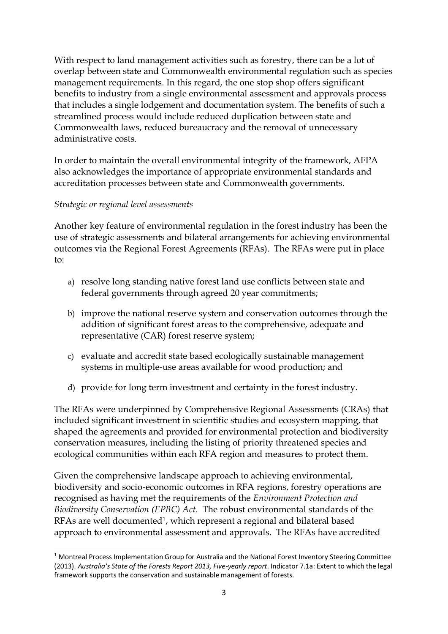With respect to land management activities such as forestry, there can be a lot of overlap between state and Commonwealth environmental regulation such as species management requirements. In this regard, the one stop shop offers significant benefits to industry from a single environmental assessment and approvals process that includes a single lodgement and documentation system. The benefits of such a streamlined process would include reduced duplication between state and Commonwealth laws, reduced bureaucracy and the removal of unnecessary administrative costs.

In order to maintain the overall environmental integrity of the framework, AFPA also acknowledges the importance of appropriate environmental standards and accreditation processes between state and Commonwealth governments.

#### *Strategic or regional level assessments*

-

Another key feature of environmental regulation in the forest industry has been the use of strategic assessments and bilateral arrangements for achieving environmental outcomes via the Regional Forest Agreements (RFAs). The RFAs were put in place to:

- a) resolve long standing native forest land use conflicts between state and federal governments through agreed 20 year commitments;
- b) improve the national reserve system and conservation outcomes through the addition of significant forest areas to the comprehensive, adequate and representative (CAR) forest reserve system;
- c) evaluate and accredit state based ecologically sustainable management systems in multiple-use areas available for wood production; and
- d) provide for long term investment and certainty in the forest industry.

The RFAs were underpinned by Comprehensive Regional Assessments (CRAs) that included significant investment in scientific studies and ecosystem mapping, that shaped the agreements and provided for environmental protection and biodiversity conservation measures, including the listing of priority threatened species and ecological communities within each RFA region and measures to protect them.

Given the comprehensive landscape approach to achieving environmental, biodiversity and socio-economic outcomes in RFA regions, forestry operations are recognised as having met the requirements of the *Environment Protection and Biodiversity Conservation (EPBC) Act*. The robust environmental standards of the RFAs are well documented<sup>1</sup>, which represent a regional and bilateral based approach to environmental assessment and approvals. The RFAs have accredited

 $1$  Montreal Process Implementation Group for Australia and the National Forest Inventory Steering Committee (2013). *Australia's State of the Forests Report 2013, Five-yearly report*. Indicator 7.1a: Extent to which the legal framework supports the conservation and sustainable management of forests.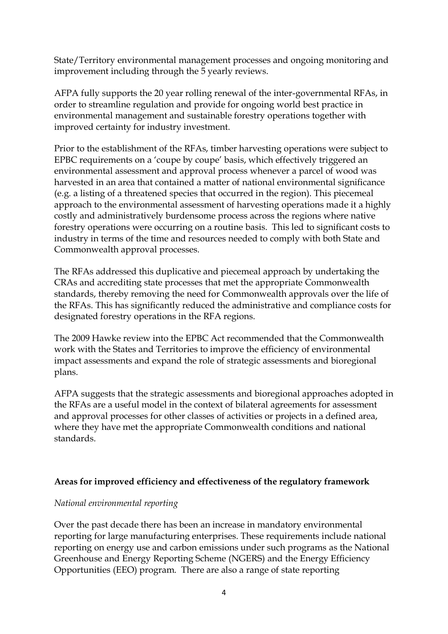State/Territory environmental management processes and ongoing monitoring and improvement including through the 5 yearly reviews.

AFPA fully supports the 20 year rolling renewal of the inter-governmental RFAs, in order to streamline regulation and provide for ongoing world best practice in environmental management and sustainable forestry operations together with improved certainty for industry investment.

Prior to the establishment of the RFAs, timber harvesting operations were subject to EPBC requirements on a 'coupe by coupe' basis, which effectively triggered an environmental assessment and approval process whenever a parcel of wood was harvested in an area that contained a matter of national environmental significance (e.g. a listing of a threatened species that occurred in the region). This piecemeal approach to the environmental assessment of harvesting operations made it a highly costly and administratively burdensome process across the regions where native forestry operations were occurring on a routine basis. This led to significant costs to industry in terms of the time and resources needed to comply with both State and Commonwealth approval processes.

The RFAs addressed this duplicative and piecemeal approach by undertaking the CRAs and accrediting state processes that met the appropriate Commonwealth standards, thereby removing the need for Commonwealth approvals over the life of the RFAs. This has significantly reduced the administrative and compliance costs for designated forestry operations in the RFA regions.

The 2009 Hawke review into the EPBC Act recommended that the Commonwealth work with the States and Territories to improve the efficiency of environmental impact assessments and expand the role of strategic assessments and bioregional plans.

AFPA suggests that the strategic assessments and bioregional approaches adopted in the RFAs are a useful model in the context of bilateral agreements for assessment and approval processes for other classes of activities or projects in a defined area, where they have met the appropriate Commonwealth conditions and national standards.

### **Areas for improved efficiency and effectiveness of the regulatory framework**

### *National environmental reporting*

Over the past decade there has been an increase in mandatory environmental reporting for large manufacturing enterprises. These requirements include national reporting on energy use and carbon emissions under such programs as the National Greenhouse and Energy Reporting Scheme (NGERS) and the Energy Efficiency Opportunities (EEO) program. There are also a range of state reporting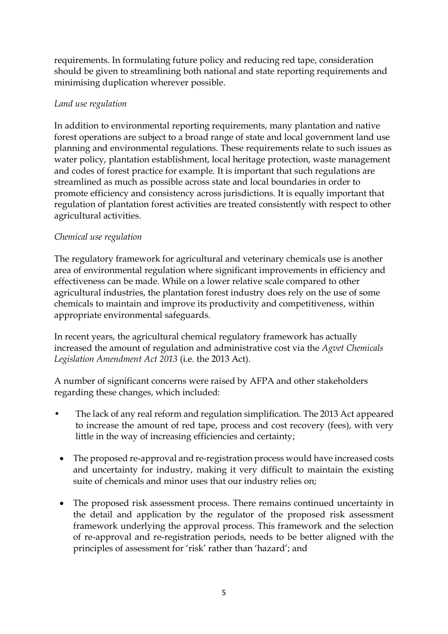requirements. In formulating future policy and reducing red tape, consideration should be given to streamlining both national and state reporting requirements and minimising duplication wherever possible.

#### *Land use regulation*

In addition to environmental reporting requirements, many plantation and native forest operations are subject to a broad range of state and local government land use planning and environmental regulations. These requirements relate to such issues as water policy, plantation establishment, local heritage protection, waste management and codes of forest practice for example. It is important that such regulations are streamlined as much as possible across state and local boundaries in order to promote efficiency and consistency across jurisdictions. It is equally important that regulation of plantation forest activities are treated consistently with respect to other agricultural activities.

### *Chemical use regulation*

The regulatory framework for agricultural and veterinary chemicals use is another area of environmental regulation where significant improvements in efficiency and effectiveness can be made. While on a lower relative scale compared to other agricultural industries, the plantation forest industry does rely on the use of some chemicals to maintain and improve its productivity and competitiveness, within appropriate environmental safeguards.

In recent years, the agricultural chemical regulatory framework has actually increased the amount of regulation and administrative cost via the *Agvet Chemicals Legislation Amendment Act 2013* (i.e. the 2013 Act).

A number of significant concerns were raised by AFPA and other stakeholders regarding these changes, which included:

- The lack of any real reform and regulation simplification. The 2013 Act appeared to increase the amount of red tape, process and cost recovery (fees), with very little in the way of increasing efficiencies and certainty;
- The proposed re-approval and re-registration process would have increased costs and uncertainty for industry, making it very difficult to maintain the existing suite of chemicals and minor uses that our industry relies on;
- The proposed risk assessment process*.* There remains continued uncertainty in the detail and application by the regulator of the proposed risk assessment framework underlying the approval process. This framework and the selection of re-approval and re-registration periods, needs to be better aligned with the principles of assessment for 'risk' rather than 'hazard'; and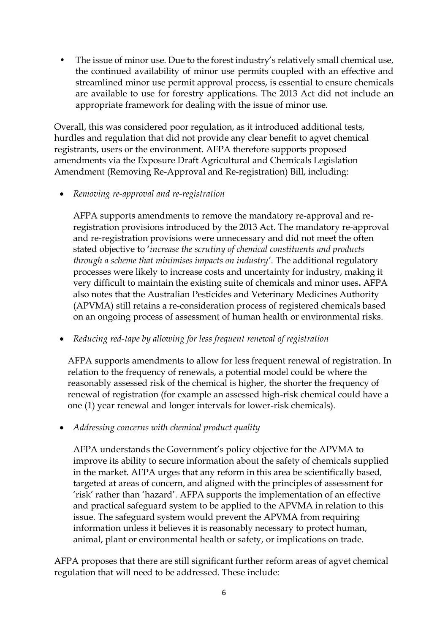• The issue of minor use. Due to the forest industry's relatively small chemical use, the continued availability of minor use permits coupled with an effective and streamlined minor use permit approval process, is essential to ensure chemicals are available to use for forestry applications. The 2013 Act did not include an appropriate framework for dealing with the issue of minor use.

Overall, this was considered poor regulation, as it introduced additional tests, hurdles and regulation that did not provide any clear benefit to agvet chemical registrants, users or the environment. AFPA therefore supports proposed amendments via the Exposure Draft Agricultural and Chemicals Legislation Amendment (Removing Re-Approval and Re-registration) Bill, including:

*Removing re-approval and re-registration*

AFPA supports amendments to remove the mandatory re-approval and reregistration provisions introduced by the 2013 Act. The mandatory re-approval and re-registration provisions were unnecessary and did not meet the often stated objective to '*increase the scrutiny of chemical constituents and products through a scheme that minimises impacts on industry'*. The additional regulatory processes were likely to increase costs and uncertainty for industry, making it very difficult to maintain the existing suite of chemicals and minor uses**.** AFPA also notes that the Australian Pesticides and Veterinary Medicines Authority (APVMA) still retains a re-consideration process of registered chemicals based on an ongoing process of assessment of human health or environmental risks.

*Reducing red-tape by allowing for less frequent renewal of registration*

AFPA supports amendments to allow for less frequent renewal of registration. In relation to the frequency of renewals, a potential model could be where the reasonably assessed risk of the chemical is higher, the shorter the frequency of renewal of registration (for example an assessed high-risk chemical could have a one (1) year renewal and longer intervals for lower-risk chemicals).

*Addressing concerns with chemical product quality*

AFPA understands the Government's policy objective for the APVMA to improve its ability to secure information about the safety of chemicals supplied in the market. AFPA urges that any reform in this area be scientifically based, targeted at areas of concern, and aligned with the principles of assessment for 'risk' rather than 'hazard'. AFPA supports the implementation of an effective and practical safeguard system to be applied to the APVMA in relation to this issue. The safeguard system would prevent the APVMA from requiring information unless it believes it is reasonably necessary to protect human, animal, plant or environmental health or safety, or implications on trade.

AFPA proposes that there are still significant further reform areas of agvet chemical regulation that will need to be addressed. These include: